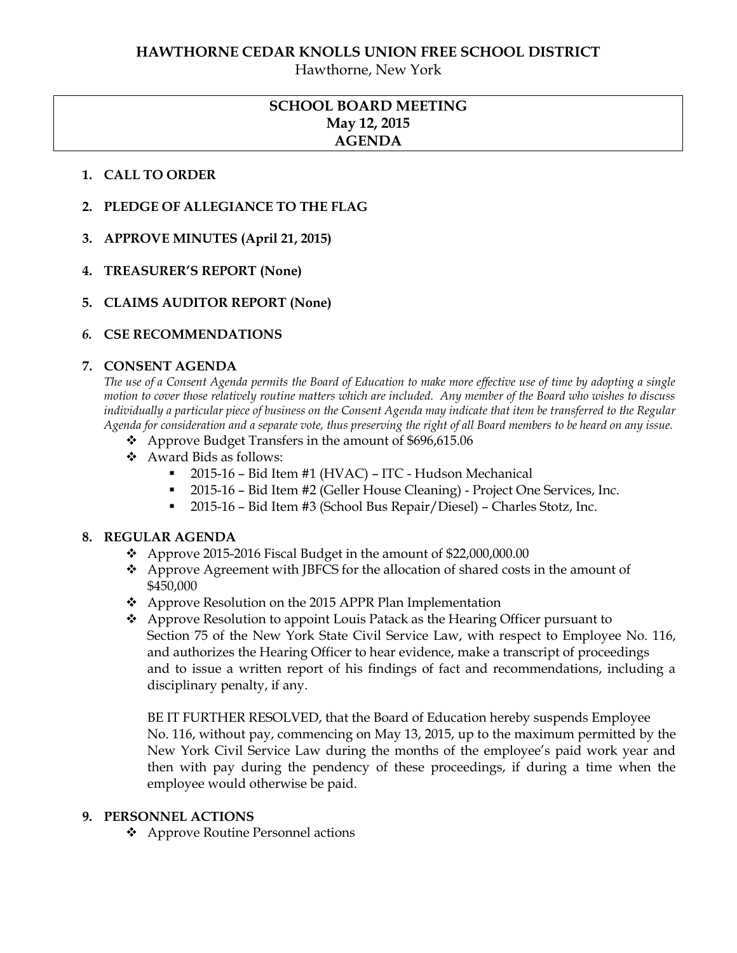Hawthorne, New York

## **SCHOOL BOARD MEETING May 12, 2015 AGENDA**

### **1. CALL TO ORDER**

- **2. PLEDGE OF ALLEGIANCE TO THE FLAG**
- **3. APPROVE MINUTES (April 21, 2015)**
- **4. TREASURER'S REPORT (None)**
- **5. CLAIMS AUDITOR REPORT (None)**

## *6.* **CSE RECOMMENDATIONS**

### **7. CONSENT AGENDA**

*The use of a Consent Agenda permits the Board of Education to make more effective use of time by adopting a single motion to cover those relatively routine matters which are included. Any member of the Board who wishes to discuss individually a particular piece of business on the Consent Agenda may indicate that item be transferred to the Regular Agenda for consideration and a separate vote, thus preserving the right of all Board members to be heard on any issue.* 

- ❖ Approve Budget Transfers in the amount of \$696,615.06
- Award Bids as follows:
	- 2015-16 Bid Item #1 (HVAC) ITC Hudson Mechanical
	- 2015-16 Bid Item #2 (Geller House Cleaning) Project One Services, Inc.
	- 2015-16 Bid Item #3 (School Bus Repair/Diesel) Charles Stotz, Inc.

### **8. REGULAR AGENDA**

- $\bullet$  Approve 2015-2016 Fiscal Budget in the amount of \$22,000,000.00
- Approve Agreement with JBFCS for the allocation of shared costs in the amount of \$450,000
- Approve Resolution on the 2015 APPR Plan Implementation
- Approve Resolution to appoint Louis Patack as the Hearing Officer pursuant to Section 75 of the New York State Civil Service Law, with respect to Employee No. 116, and authorizes the Hearing Officer to hear evidence, make a transcript of proceedings and to issue a written report of his findings of fact and recommendations, including a disciplinary penalty, if any.

BE IT FURTHER RESOLVED, that the Board of Education hereby suspends Employee No. 116, without pay, commencing on May 13, 2015, up to the maximum permitted by the New York Civil Service Law during the months of the employee's paid work year and then with pay during the pendency of these proceedings, if during a time when the employee would otherwise be paid.

### **9. PERSONNEL ACTIONS**

Approve Routine Personnel actions